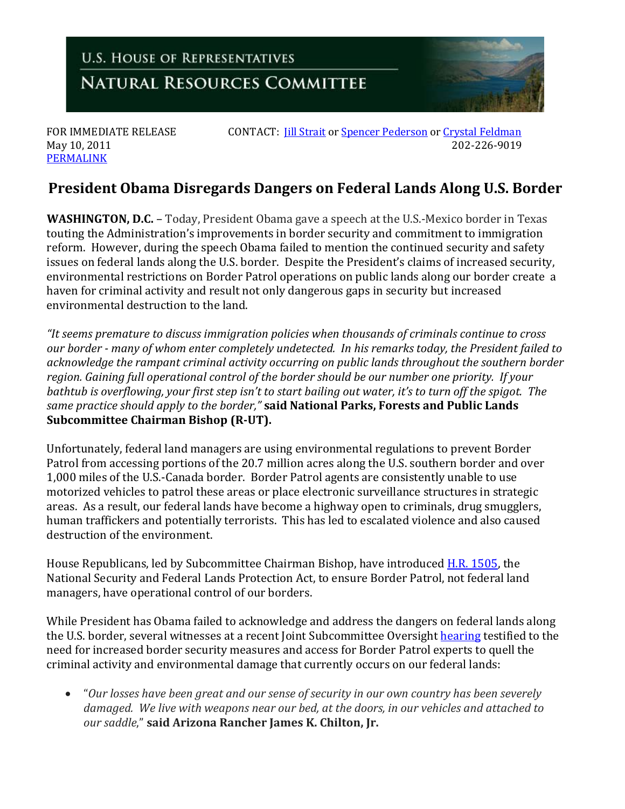

[PERMALINK](http://naturalresources.house.gov/News/DocumentSingle.aspx?DocumentID=240544)

FOR IMMEDIATE RELEASE CONTACT: *[Jill Strait](mailto:jill.strait@mail.house.gov)* or <u>Spencer Pederson</u> o[r Crystal Feldman](mailto:crystal.feldman@mail.house.gov) May 10, 2011 May 10, 2011 202-226-9019

## **President Obama Disregards Dangers on Federal Lands Along U.S. Border**

**WASHINGTON, D.C.** – Today, President Obama gave a speech at the U.S.-Mexico border in Texas touting the Administration's improvements in border security and commitment to immigration reform. However, during the speech Obama failed to mention the continued security and safety issues on federal lands along the U.S. border. Despite the President's claims of increased security, environmental restrictions on Border Patrol operations on public lands along our border create a haven for criminal activity and result not only dangerous gaps in security but increased environmental destruction to the land.

*"It seems premature to discuss immigration policies when thousands of criminals continue to cross our border - many of whom enter completely undetected. In his remarks today, the President failed to acknowledge the rampant criminal activity occurring on public lands throughout the southern border region. Gaining full operational control of the border should be our number one priority. If your bathtub is overflowing, your first step isn't to start bailing out water, it's to turn off the spigot. The same practice should apply to the border,"* **said National Parks, Forests and Public Lands Subcommittee Chairman Bishop (R-UT).** 

Unfortunately, federal land managers are using environmental regulations to prevent Border Patrol from accessing portions of the 20.7 million acres along the U.S. southern border and over 1,000 miles of the U.S.-Canada border. Border Patrol agents are consistently unable to use motorized vehicles to patrol these areas or place electronic surveillance structures in strategic areas. As a result, our federal lands have become a highway open to criminals, drug smugglers, human traffickers and potentially terrorists. This has led to escalated violence and also caused destruction of the environment.

House Republicans, led by Subcommittee Chairman Bishop, have introduced [H.R. 1505,](http://thomas.gov/cgi-bin/query/z?c112:H.R.1505:) the National Security and Federal Lands Protection Act, to ensure Border Patrol, not federal land managers, have operational control of our borders.

While President has Obama failed to acknowledge and address the dangers on federal lands along the U.S. border, several witnesses at a recent Joint Subcommittee Oversight [hearing](http://naturalresources.house.gov/Calendar/EventSingle.aspx?EventID=234828) testified to the need for increased border security measures and access for Border Patrol experts to quell the criminal activity and environmental damage that currently occurs on our federal lands:

• "*Our losses have been great and our sense of security in our own country has been severely damaged. We live with weapons near our bed, at the doors, in our vehicles and attached to our saddle*," **said Arizona Rancher James K. Chilton, Jr.**